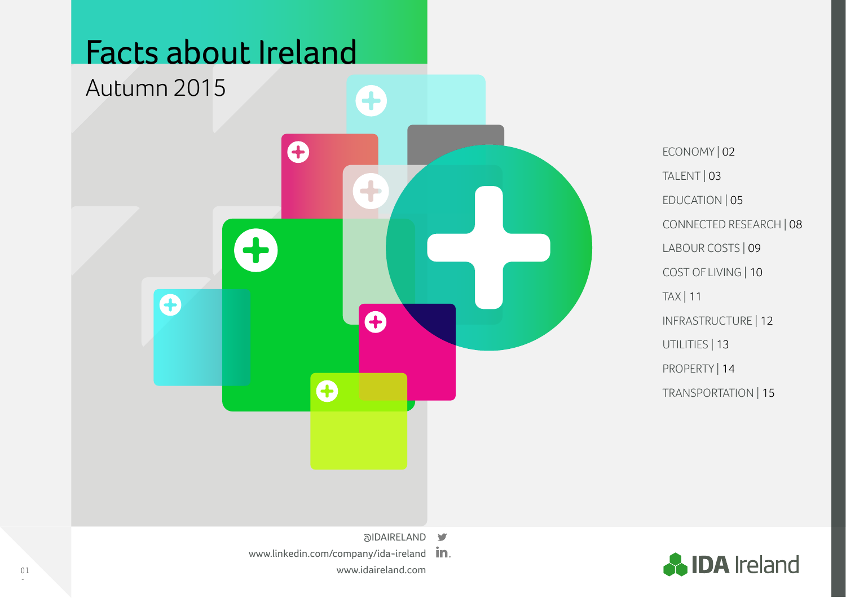

4

 $\bullet$ 

 $\boldsymbol{\Theta}$ 

Ŧ

 $\bullet$ 

ECONOMY | 02 TALENT | 03 EDUCATION | 05 CONNECTED RESEARCH | 08 LABOUR COSTS | 09 COST OF LIVING | 10 TAX | 11 INFRASTRUCTURE | 12 UTILITIES | 13 PROPERTY | 14 TRANSPORTATION | 15



- alDAIRELAND
- [www.linkedin.com/company/ida-ireland](https://www.linkedin.com/company/ida-ireland) in. <www.idaireland.com>

 $\mathbf O$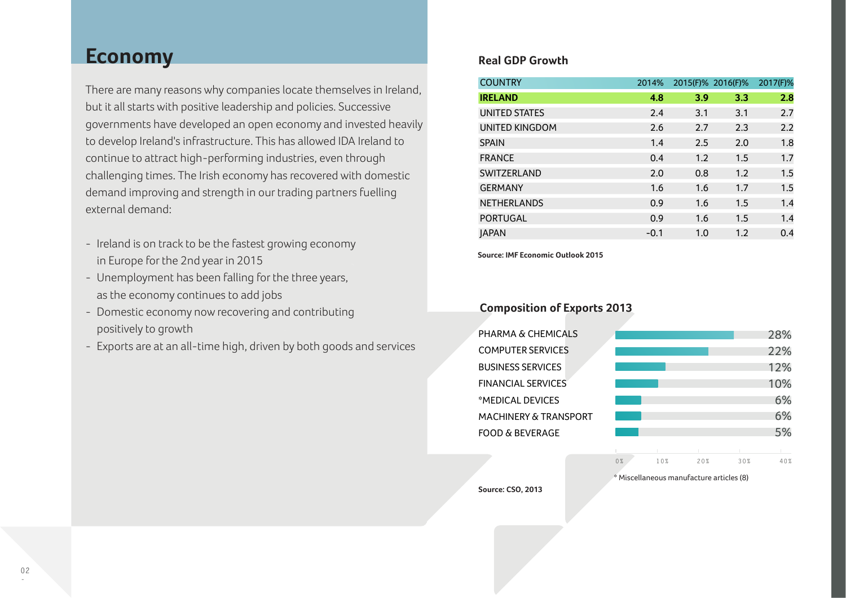## **Economy** Real GDP Growth

There are many reasons why companies locate themselves in Ireland, but it all starts with positive leadership and policies. Successive governments have developed an open economy and invested heavily to develop Ireland's infrastructure. This has allowed IDA Ireland to continue to attract high-performing industries, even through challenging times. The Irish economy has recovered with domestic demand improving and strength in our trading partners fuelling external demand:

- Ireland is on track to be the fastest growing economy in Europe for the 2nd year in 2015
- Unemployment has been falling for the three years, as the economy continues to add jobs
- Domestic economy now recovering and contributing positively to growth
- Exports are at an all-time high, driven by both goods and services

| <b>COUNTRY</b>        | 2014%  |     | 2015(F)% 2016(F)% | 2017(F)% |
|-----------------------|--------|-----|-------------------|----------|
| <b>IRELAND</b>        | 4.8    | 3.9 | 3.3               | 2.8      |
| <b>UNITED STATES</b>  | 2.4    | 3.1 | 3.1               | 2.7      |
| <b>UNITED KINGDOM</b> | 2.6    | 2.7 | 2.3               | 2.2      |
| <b>SPAIN</b>          | 1.4    | 2.5 | 2.0               | 1.8      |
| <b>FRANCE</b>         | 0.4    | 1.2 | 1.5               | 1.7      |
| SWITZERLAND           | 2.0    | 0.8 | 1.2               | 1.5      |
| <b>GERMANY</b>        | 1.6    | 1.6 | 1.7               | 1.5      |
| <b>NETHERLANDS</b>    | 0.9    | 1.6 | 1.5               | 1.4      |
| <b>PORTUGAL</b>       | 0.9    | 1.6 | 1.5               | 1.4      |
| <b>JAPAN</b>          | $-0.1$ | 1.0 | 1.2               | 0.4      |

**Source: IMF Economic Outlook 2015**

## **Composition of Exports 2013**



**Source: CSO, 2013**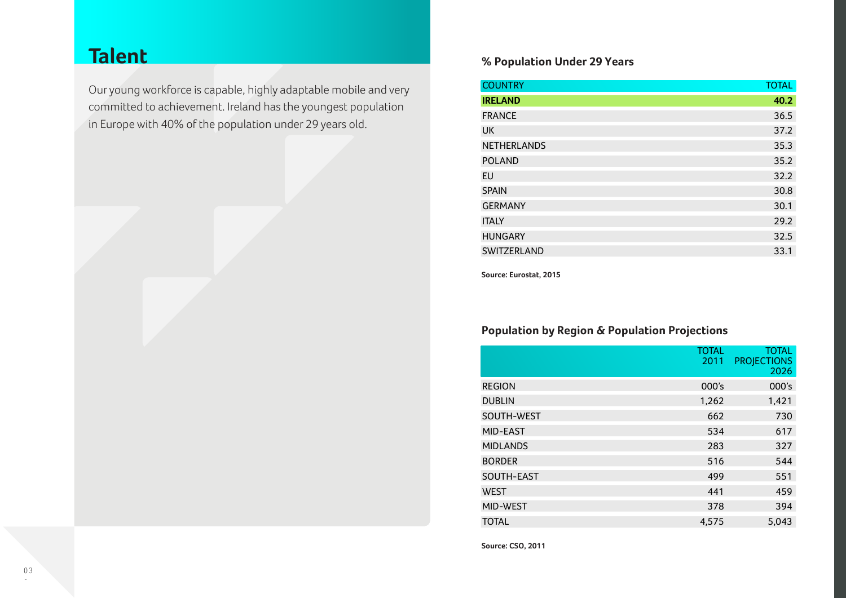## **Talent**

Our young workforce is capable, highly adaptable mobile and very committed to achievement. Ireland has the youngest population in Europe with 40% of the population under 29 years old.

### **% Population Under 29 Years**

| <b>COUNTRY</b>     | <b>TOTAL</b> |
|--------------------|--------------|
| <b>IRELAND</b>     | 40.2         |
| <b>FRANCE</b>      | 36.5         |
| <b>UK</b>          | 37.2         |
| <b>NETHERLANDS</b> | 35.3         |
| <b>POLAND</b>      | 35.2         |
| EU                 | 32.2         |
| <b>SPAIN</b>       | 30.8         |
| <b>GERMANY</b>     | 30.1         |
| <b>ITALY</b>       | 29.2         |
| <b>HUNGARY</b>     | 32.5         |
| SWITZERLAND        | 33.1         |

**Source: Eurostat, 2015**

## **Population by Region & Population Projections**

|                 | <b>TOTAL</b><br>2011 | TOTAL<br><b>PROJECTIONS</b><br>2026 |
|-----------------|----------------------|-------------------------------------|
| <b>REGION</b>   | 000's                | 000's                               |
| <b>DUBLIN</b>   | 1,262                | 1,421                               |
| SOUTH-WEST      | 662                  | 730                                 |
| MID-EAST        | 534                  | 617                                 |
| <b>MIDLANDS</b> | 283                  | 327                                 |
| <b>BORDER</b>   | 516                  | 544                                 |
| SOUTH-EAST      | 499                  | 551                                 |
| <b>WEST</b>     | 441                  | 459                                 |
| MID-WEST        | 378                  | 394                                 |
| <b>TOTAL</b>    | 4,575                | 5,043                               |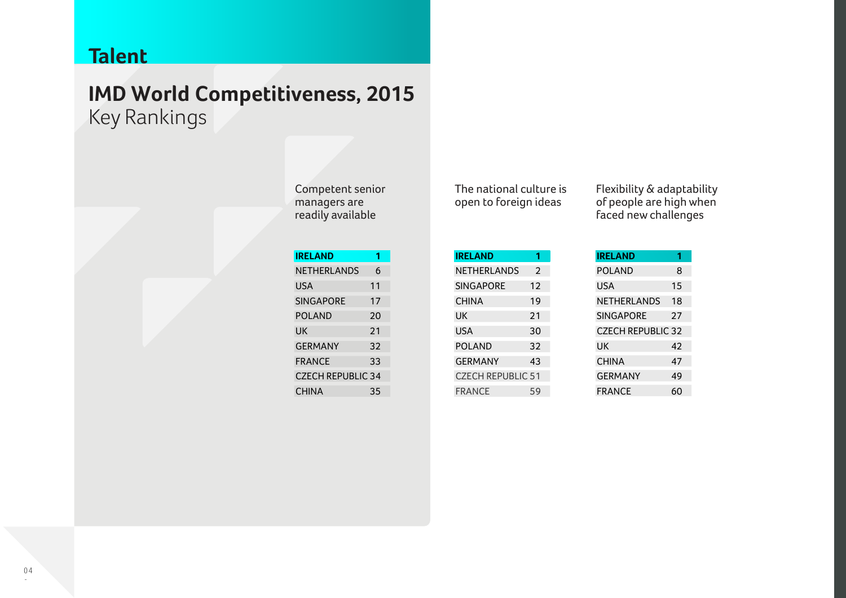## **Talent**

# **IMD World Competitiveness, 2015** Key Rankings

| <b>IRELAND</b>           | 1  |
|--------------------------|----|
| NETHERLANDS              | 6  |
| <b>USA</b>               | 11 |
| <b>SINGAPORE</b>         | 17 |
| POI AND                  | 20 |
| UK                       | 21 |
| GFRMANY                  | 32 |
| <b>FRANCE</b>            | 33 |
| <b>CZECH REPUBLIC 34</b> |    |
| CHINA                    | 35 |

The national culture is open to foreign ideas

**IRELAND 1** NETHERLANDS<sub>2</sub> SINGAPORE 12 CHINA 19 UK 21 USA 30 POLAND 32 GERMANY 43 CZECH REPUBLIC 51 FRANCE 59 Flexibility & adaptability of people are high when faced new challenges

| <b>IRELAND</b>           | 1  |
|--------------------------|----|
| POI AND                  | 8  |
| USA                      | 15 |
| NETHERLANDS              | 18 |
| <b>SINGAPORE</b>         | 27 |
| <b>CZECH REPUBLIC 32</b> |    |
| UK                       | 42 |
| <b>CHINA</b>             | 47 |
| <b>GERMANY</b>           | 49 |
| FRANCE                   | 60 |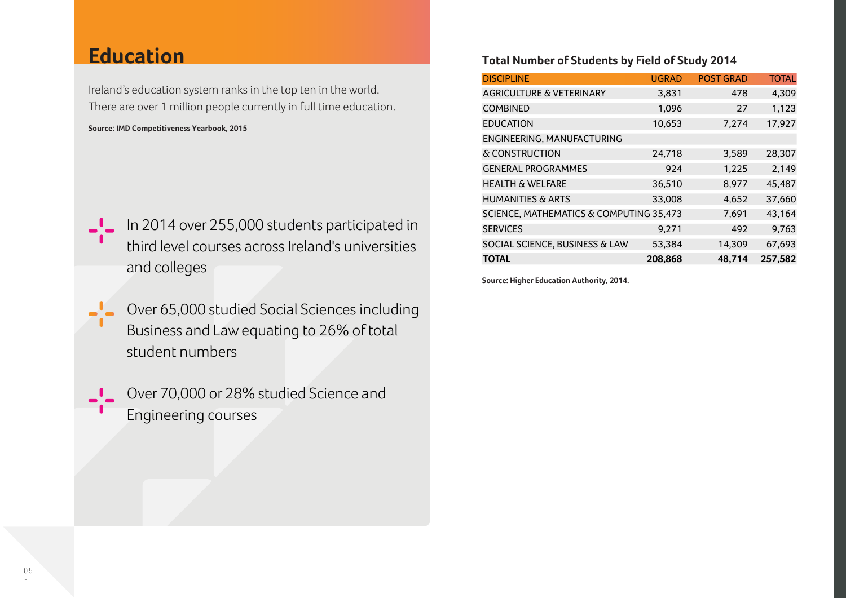## **Education**

Ireland's education system ranks in the top ten in the world. There are over 1 million people currently in full time education.

**Source: IMD Competitiveness Yearbook, 2015**

- 
- I In 2014 over 255,000 students participated in third level courses across Ireland's universities and colleges
	- Over 65,000 studied Social Sciences including Business and Law equating to 26% of total student numbers
	- Over 70,000 or 28% studied Science and Engineering courses

### **Total Number of Students by Field of Study 2014**

| <b>DISCIPLINE</b>                       | <b>UGRAD</b> | <b>POST GRAD</b> | <b>TOTAL</b> |
|-----------------------------------------|--------------|------------------|--------------|
| <b>AGRICULTURE &amp; VETERINARY</b>     | 3,831        | 478              | 4,309        |
| <b>COMBINED</b>                         | 1,096        | 27               | 1,123        |
| <b>EDUCATION</b>                        | 10,653       | 7,274            | 17,927       |
| ENGINEERING, MANUFACTURING              |              |                  |              |
| & CONSTRUCTION                          | 24,718       | 3,589            | 28,307       |
| <b>GENERAL PROGRAMMES</b>               | 924          | 1,225            | 2,149        |
| <b>HEALTH &amp; WELFARE</b>             | 36,510       | 8,977            | 45,487       |
| <b>HUMANITIES &amp; ARTS</b>            | 33,008       | 4,652            | 37,660       |
| SCIENCE, MATHEMATICS & COMPUTING 35,473 |              | 7,691            | 43,164       |
| <b>SERVICES</b>                         | 9,271        | 492              | 9,763        |
| SOCIAL SCIENCE, BUSINESS & LAW          | 53,384       | 14,309           | 67,693       |
| <b>TOTAL</b>                            | 208,868      | 48,714           | 257,582      |

**Source: Higher Education Authority, 2014.**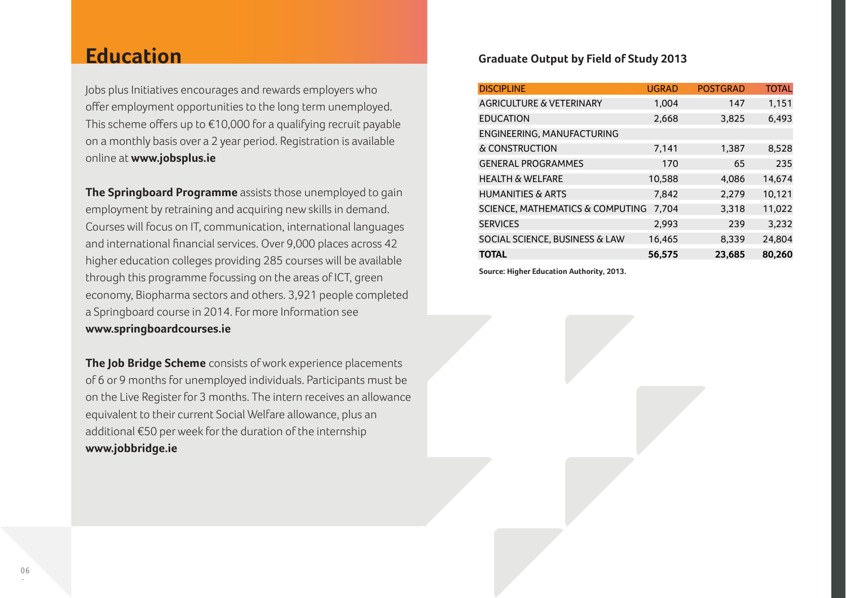## **Education**

Jobs plus Initiatives encourages and rewards employers who offer employment opportunities to the long term unemployed. This scheme offers up to €10,000 for a qualifying recruit payable on a monthly basis over a 2 year period. Registration is available online at **<www.jobsplus.ie>**

**The Springboard Programme** assists those unemployed to gain employment by retraining and acquiring new skills in demand. Courses will focus on IT, communication, international languages and international financial services. Over 9,000 places across 42 higher education colleges providing 285 courses will be available through this programme focussing on the areas of ICT, green economy, Biopharma sectors and others. 3,921 people completed a Springboard course in 2014. For more Information see **<www.springboardcourses.ie>**

**The Job Bridge Scheme** consists of work experience placements of 6 or 9 months for unemployed individuals. Participants must be on the Live Register for 3 months. The intern receives an allowance equivalent to their current Social Welfare allowance, plus an additional €50 per week for the duration of the internship **<www.jobbridge.ie>**

### **Graduate Output by Field of Study 2013**

| <b>DISCIPLINE</b>                           | <b>UGRAD</b> | <b>POSTGRAD</b> | <b>TOTAL</b> |
|---------------------------------------------|--------------|-----------------|--------------|
| <b>AGRICULTURE &amp; VETERINARY</b>         | 1.004        | 147             | 1,151        |
| <b>EDUCATION</b>                            | 2,668        | 3,825           | 6,493        |
| ENGINEERING, MANUFACTURING                  |              |                 |              |
| & CONSTRUCTION                              | 7,141        | 1,387           | 8,528        |
| <b>GENERAL PROGRAMMES</b>                   | 170          | 65              | 235          |
| <b>HEALTH &amp; WELFARE</b>                 | 10,588       | 4,086           | 14,674       |
| <b>HUMANITIES &amp; ARTS</b>                | 7,842        | 2,279           | 10,121       |
| <b>SCIENCE, MATHEMATICS &amp; COMPUTING</b> | 7.704        | 3,318           | 11,022       |
| <b>SERVICES</b>                             | 2,993        | 239             | 3,232        |
| SOCIAL SCIENCE, BUSINESS & LAW              | 16,465       | 8,339           | 24,804       |
| <b>TOTAL</b>                                | 56,575       | 23.685          | 80,260       |

**Source: Higher Education Authority, 2013.**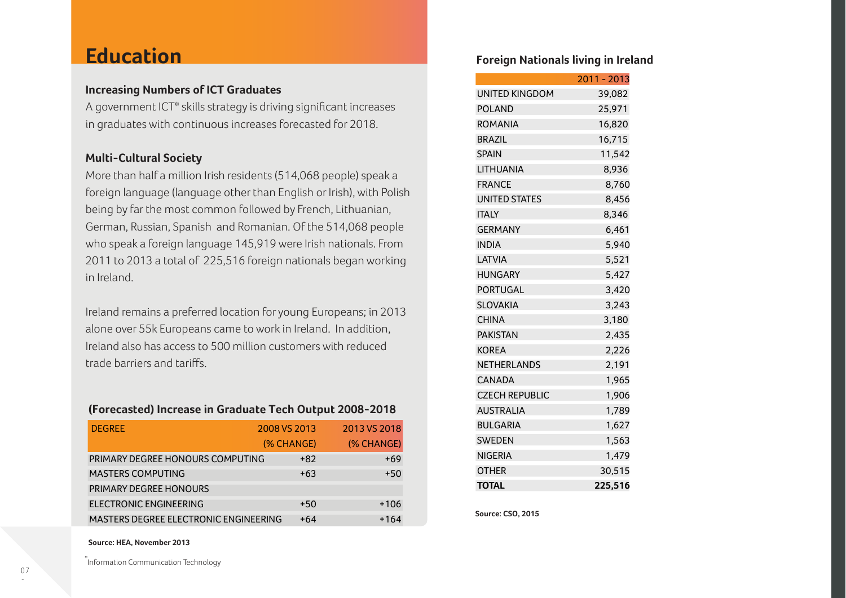## **Education**

### **Increasing Numbers of ICT Graduates**

A government ICT\* skills strategy is driving significant increases in graduates with continuous increases forecasted for 2018.

### **Multi-Cultural Society**

More than half a million Irish residents (514,068 people) speak a foreign language (language other than English or Irish), with Polish being by far the most common followed by French, Lithuanian, German, Russian, Spanish and Romanian. Of the 514,068 people who speak a foreign language 145,919 were Irish nationals. From 2011 to 2013 a total of 225,516 foreign nationals began working in Ireland.

Ireland remains a preferred location for young Europeans; in 2013 alone over 55k Europeans came to work in Ireland. In addition, Ireland also has access to 500 million customers with reduced trade barriers and tariffs.

### **(Forecasted) Increase in Graduate Tech Output 2008-2018**

| <b>DEGREE</b>                                | 2008 VS 2013 | 2013 VS 2018 |
|----------------------------------------------|--------------|--------------|
|                                              | (% CHANGE)   | (% CHANGE)   |
| PRIMARY DEGREE HONOURS COMPUTING             | $+82$        | +69          |
| <b>MASTERS COMPUTING</b>                     | $+63$        | $+50$        |
| PRIMARY DEGREE HONOURS                       |              |              |
| <b>ELECTRONIC ENGINEERING</b>                | $+50$        | $+106$       |
| <b>MASTERS DEGREE ELECTRONIC ENGINEERING</b> | $+64$        | +164         |

### **Source: HEA, November 2013**

\* Information Communication Technology

### **Foreign Nationals living in Ireland**

|                       | 2011 - 2013 |
|-----------------------|-------------|
| <b>UNITED KINGDOM</b> | 39,082      |
| <b>POLAND</b>         | 25,971      |
| <b>ROMANIA</b>        | 16,820      |
| <b>BRAZIL</b>         | 16,715      |
| <b>SPAIN</b>          | 11,542      |
| <b>LITHUANIA</b>      | 8,936       |
| <b>FRANCE</b>         | 8,760       |
| <b>UNITED STATES</b>  | 8,456       |
| <b>ITALY</b>          | 8,346       |
| <b>GERMANY</b>        | 6,461       |
| <b>INDIA</b>          | 5,940       |
| LATVIA                | 5,521       |
| <b>HUNGARY</b>        | 5,427       |
| PORTUGAL              | 3,420       |
| <b>SLOVAKIA</b>       | 3,243       |
| <b>CHINA</b>          | 3,180       |
| <b>PAKISTAN</b>       | 2,435       |
| <b>KOREA</b>          | 2,226       |
| <b>NETHERLANDS</b>    | 2,191       |
| CANADA                | 1,965       |
| <b>CZECH REPUBLIC</b> | 1,906       |
| <b>AUSTRALIA</b>      | 1,789       |
| <b>BULGARIA</b>       | 1,627       |
| <b>SWEDEN</b>         | 1,563       |
| <b>NIGERIA</b>        | 1,479       |
| <b>OTHER</b>          | 30,515      |
| TOTAL                 | 225,516     |

**Source: CSO, 2015**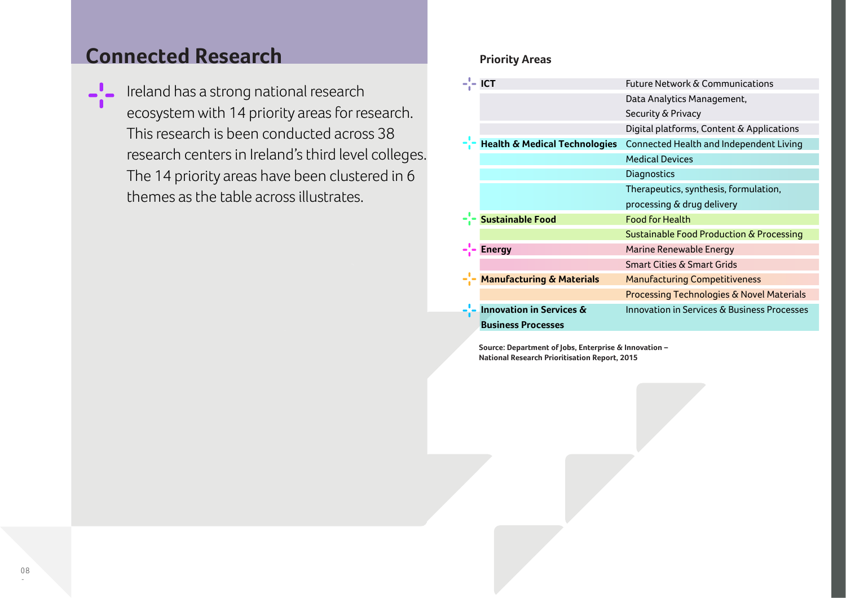# **Connected Research Priority Areas**

 $\blacksquare$  Ireland has a strong national research ecosystem with 14 priority areas for research. This research is been conducted across 38 research centers in Ireland's third level colleges. The 14 priority areas have been clustered in 6 themes as the table across illustrates.

| <b>ICT</b>                               | <b>Future Network &amp; Communications</b>  |
|------------------------------------------|---------------------------------------------|
|                                          | Data Analytics Management,                  |
|                                          | Security & Privacy                          |
|                                          | Digital platforms, Content & Applications   |
| <b>Health &amp; Medical Technologies</b> | Connected Health and Independent Living     |
|                                          | <b>Medical Devices</b>                      |
|                                          | Diagnostics                                 |
|                                          | Therapeutics, synthesis, formulation,       |
|                                          | processing & drug delivery                  |
| <b>Sustainable Food</b>                  | <b>Food for Health</b>                      |
|                                          | Sustainable Food Production & Processing    |
| <b>Energy</b>                            | Marine Renewable Energy                     |
|                                          | <b>Smart Cities &amp; Smart Grids</b>       |
| <b>Manufacturing &amp; Materials</b>     | <b>Manufacturing Competitiveness</b>        |
|                                          | Processing Technologies & Novel Materials   |
| <b>Innovation in Services &amp;</b>      | Innovation in Services & Business Processes |
| <b>Business Processes</b>                |                                             |

**Source: Department of Jobs, Enterprise & Innovation – National Research Prioritisation Report, 2015**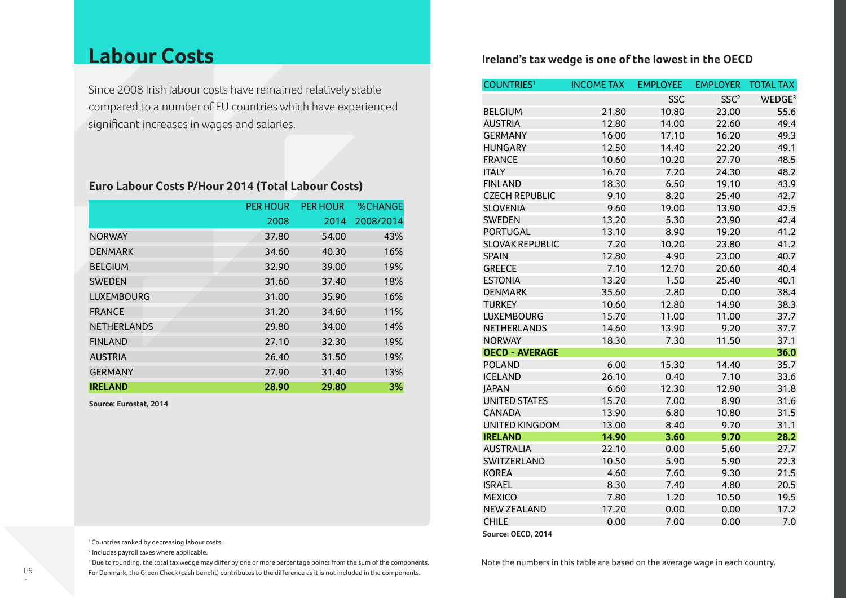## **Labour Costs**

Since 2008 Irish labour costs have remained relatively stable compared to a number of EU countries which have experienced significant increases in wages and salaries.

### **Euro Labour Costs P/Hour 2 014 (Total Labour Costs)**

|                    | <b>PER HOUR</b> | <b>PER HOUR</b> | <b>%CHANGE</b> |
|--------------------|-----------------|-----------------|----------------|
|                    | 2008            | 2014            | 2008/2014      |
| <b>NORWAY</b>      | 37.80           | 54.00           | 43%            |
| <b>DENMARK</b>     | 34.60           | 40.30           | 16%            |
| <b>BELGIUM</b>     | 32.90           | 39.00           | 19%            |
| <b>SWEDEN</b>      | 31.60           | 37.40           | 18%            |
| <b>LUXEMBOURG</b>  | 31.00           | 35.90           | 16%            |
| <b>FRANCE</b>      | 31.20           | 34.60           | 11%            |
| <b>NETHERLANDS</b> | 29.80           | 34.00           | 14%            |
| <b>FINLAND</b>     | 27.10           | 32.30           | 19%            |
| <b>AUSTRIA</b>     | 26.40           | 31.50           | 19%            |
| <b>GERMANY</b>     | 27.90           | 31.40           | 13%            |
| <b>IRELAND</b>     | 28.90           | 29.80           | 3%             |

**Source: Eurostat, 2014**

**Ireland's tax wedge is one of the lowest in the OECD**

| <b>COUNTRIES1</b>      | <b>INCOME TAX</b> | <b>EMPLOYEE</b> | <b>EMPLOYER</b>  | <b>TOTAL TAX</b>   |
|------------------------|-------------------|-----------------|------------------|--------------------|
|                        |                   | <b>SSC</b>      | SSC <sup>2</sup> | WEDGE <sup>3</sup> |
| <b>BELGIUM</b>         | 21.80             | 10.80           | 23.00            | 55.6               |
| <b>AUSTRIA</b>         | 12.80             | 14.00           | 22.60            | 49.4               |
| <b>GERMANY</b>         | 16.00             | 17.10           | 16.20            | 49.3               |
| <b>HUNGARY</b>         | 12.50             | 14.40           | 22.20            | 49.1               |
| <b>FRANCE</b>          | 10.60             | 10.20           | 27.70            | 48.5               |
| <b>ITALY</b>           | 16.70             | 7.20            | 24.30            | 48.2               |
| <b>FINLAND</b>         | 18.30             | 6.50            | 19.10            | 43.9               |
| <b>CZECH REPUBLIC</b>  | 9.10              | 8.20            | 25.40            | 42.7               |
| <b>SLOVENIA</b>        | 9.60              | 19.00           | 13.90            | 42.5               |
| <b>SWEDEN</b>          | 13.20             | 5.30            | 23.90            | 42.4               |
| <b>PORTUGAL</b>        | 13.10             | 8.90            | 19.20            | 41.2               |
| <b>SLOVAK REPUBLIC</b> | 7.20              | 10.20           | 23.80            | 41.2               |
| <b>SPAIN</b>           | 12.80             | 4.90            | 23.00            | 40.7               |
| <b>GREECE</b>          | 7.10              | 12.70           | 20.60            | 40.4               |
| <b>ESTONIA</b>         | 13.20             | 1.50            | 25.40            | 40.1               |
| <b>DENMARK</b>         | 35.60             | 2.80            | 0.00             | 38.4               |
| <b>TURKEY</b>          | 10.60             | 12.80           | 14.90            | 38.3               |
| <b>LUXEMBOURG</b>      | 15.70             | 11.00           | 11.00            | 37.7               |
| <b>NETHERLANDS</b>     | 14.60             | 13.90           | 9.20             | 37.7               |
| <b>NORWAY</b>          | 18.30             | 7.30            | 11.50            | 37.1               |
| <b>OECD - AVERAGE</b>  |                   |                 |                  | 36.0               |
| <b>POLAND</b>          | 6.00              | 15.30           | 14.40            | 35.7               |
| <b>ICELAND</b>         | 26.10             | 0.40            | 7.10             | 33.6               |
| <b>JAPAN</b>           | 6.60              | 12.30           | 12.90            | 31.8               |
| <b>UNITED STATES</b>   | 15.70             | 7.00            | 8.90             | 31.6               |
| <b>CANADA</b>          | 13.90             | 6.80            | 10.80            | 31.5               |
| <b>UNITED KINGDOM</b>  | 13.00             | 8.40            | 9.70             | 31.1               |
| <b>IRELAND</b>         | 14.90             | 3.60            | 9.70             | 28.2               |
| <b>AUSTRALIA</b>       | 22.10             | 0.00            | 5.60             | 27.7               |
| SWITZERLAND            | 10.50             | 5.90            | 5.90             | 22.3               |
| <b>KOREA</b>           | 4.60              | 7.60            | 9.30             | 21.5               |
| <b>ISRAEL</b>          | 8.30              | 7.40            | 4.80             | 20.5               |
| <b>MEXICO</b>          | 7.80              | 1.20            | 10.50            | 19.5               |
| <b>NEW ZEALAND</b>     | 17.20             | 0.00            | 0.00             | 17.2               |
| <b>CHILE</b>           | 0.00              | 7.00            | 0.00             | 7.0                |

**Source: OECD, 2014**

<sup>1</sup> Countries ranked by decreasing labour costs.

2 Includes payroll taxes where applicable.

<sup>3</sup> Due to rounding, the total tax wedge may differ by one or more percentage points from the sum of the components. For Denmark, the Green Check (cash benefit) contributes to the difference as it is not included in the components.

Note the numbers in this table are based on the average wage in each country.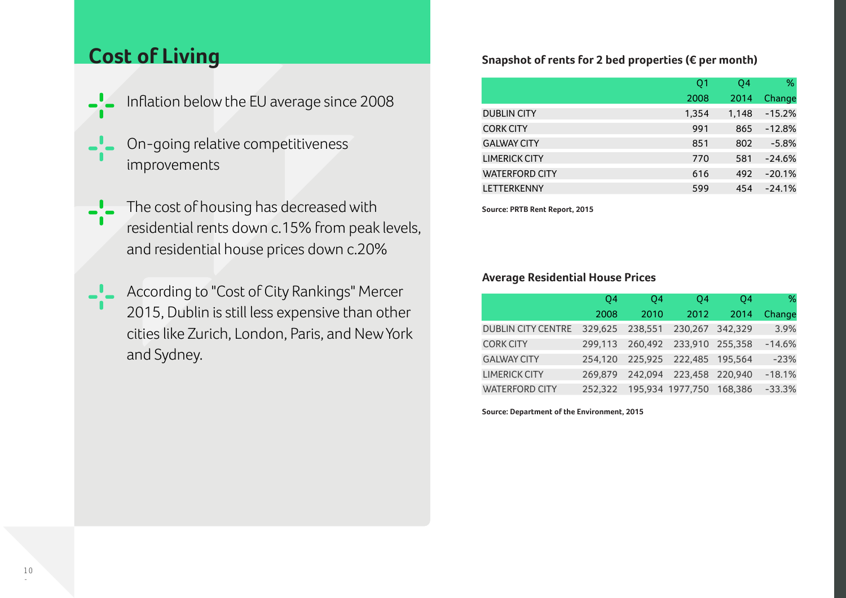- Inflation below the EU average since 2008
- On-going relative competitiveness improvements
- The cost of housing has decreased with residential rents down c.15% from peak levels, and residential house prices down c.20%
- According to "Cost of City Rankings" Mercer 2015, Dublin is still less expensive than other cities like Zurich, London, Paris, and New York and Sydney.

## **Cost of Living** Snapshot of rents for 2 bed properties (€ per month)

|                       | Q <sub>1</sub> | Q4    | %        |
|-----------------------|----------------|-------|----------|
|                       | 2008           | 2014  | Change   |
| <b>DUBLIN CITY</b>    | 1,354          | 1,148 | $-15.2%$ |
| <b>CORK CITY</b>      | 991            | 865   | $-12.8%$ |
| <b>GALWAY CITY</b>    | 851            | 802   | $-5.8%$  |
| <b>LIMERICK CITY</b>  | 770            | 581   | $-24.6%$ |
| <b>WATERFORD CITY</b> | 616            | 492   | $-20.1%$ |
| <b>LETTERKENNY</b>    | 599            | 454   | $-24.1%$ |

**Source: PRTB Rent Report, 2015**

### **Average Residential House Prices**

|                           | O <sub>4</sub> | O4      | Q4                       | Q4   | %        |
|---------------------------|----------------|---------|--------------------------|------|----------|
|                           | 2008           | 2010    | 2012                     | 2014 | Change   |
| <b>DUBLIN CITY CENTRE</b> | 329.625        | 238,551 | 230,267 342,329          |      | 3.9%     |
| <b>CORK CITY</b>          | 299.113        |         | 260,492 233,910 255,358  |      | $-14.6%$ |
| <b>GALWAY CITY</b>        | 254.120        |         | 225,925 222,485 195,564  |      | $-23%$   |
| <b>LIMERICK CITY</b>      | 269.879        |         | 242,094 223,458 220,940  |      | $-18.1%$ |
| <b>WATERFORD CITY</b>     | 252.322        |         | 195,934 1977,750 168,386 |      | $-33.3%$ |

**Source: Department of the Environment, 2015**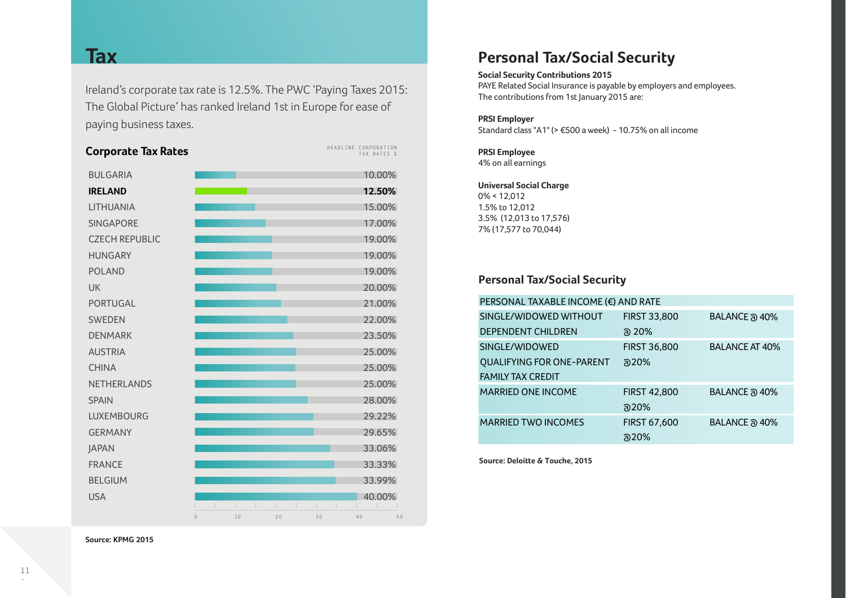Ireland's corporate tax rate is 12.5%. The PWC 'Paying Taxes 2015: The Global Picture' has ranked Ireland 1st in Europe for ease of paying business taxes.

| $\mathbf{0}$ | 10 | 20 | 30 | 40 | 50                                                                                                                                                                                                                                                    |
|--------------|----|----|----|----|-------------------------------------------------------------------------------------------------------------------------------------------------------------------------------------------------------------------------------------------------------|
|              |    |    |    |    | HEADLINE CORPORATION<br>TAX RATES %<br>10.00%<br>12.50%<br>15.00%<br>17.00%<br>19.00%<br>19.00%<br>19.00%<br>20.00%<br>21.00%<br>22.00%<br>23.50%<br>25.00%<br>25.00%<br>25.00%<br>28.00%<br>29.22%<br>29.65%<br>33.06%<br>33.33%<br>33.99%<br>40.00% |

## **Tax Personal Tax/Social Security**

### **Social Security Contributions 2015**

PAYE Related Social Insurance is payable by employers and employees. The contributions from 1st January 2015 are:

### **PRSI Employer**

Standard class "A1" (> €500 a week) - 10.75% on all income

### **PRSI Employee** 4% on all earnings

### **Universal Social Charge**

0% < 12,012 1.5% to 12,012 3.5% (12,013 to 17,576) 7% (17,577 to 70,044)

## **Personal Tax/Social Security**

| PERSONAL TAXABLE INCOME (€) AND RATE |                     |                       |  |  |  |
|--------------------------------------|---------------------|-----------------------|--|--|--|
| SINGLE/WIDOWED WITHOUT               | <b>FIRST 33,800</b> | BALANCE @ 40%         |  |  |  |
| <b>DEPENDENT CHILDREN</b>            | ล 20%               |                       |  |  |  |
| SINGLE/WIDOWED                       | <b>FIRST 36,800</b> | <b>BALANCE AT 40%</b> |  |  |  |
| <b>QUALIFYING FOR ONE-PARENT</b>     | a20%                |                       |  |  |  |
| <b>FAMILY TAX CREDIT</b>             |                     |                       |  |  |  |
| <b>MARRIED ONE INCOME</b>            | <b>FIRST 42,800</b> | BALANCE @ 40%         |  |  |  |
|                                      | <u>බ20%</u>         |                       |  |  |  |
| <b>MARRIED TWO INCOMES</b>           | <b>FIRST 67,600</b> | BALANCE @ 40%         |  |  |  |
|                                      | ລ20%                |                       |  |  |  |

**Source: Deloitte & Touche, 2015**

**Source: KPMG 2015**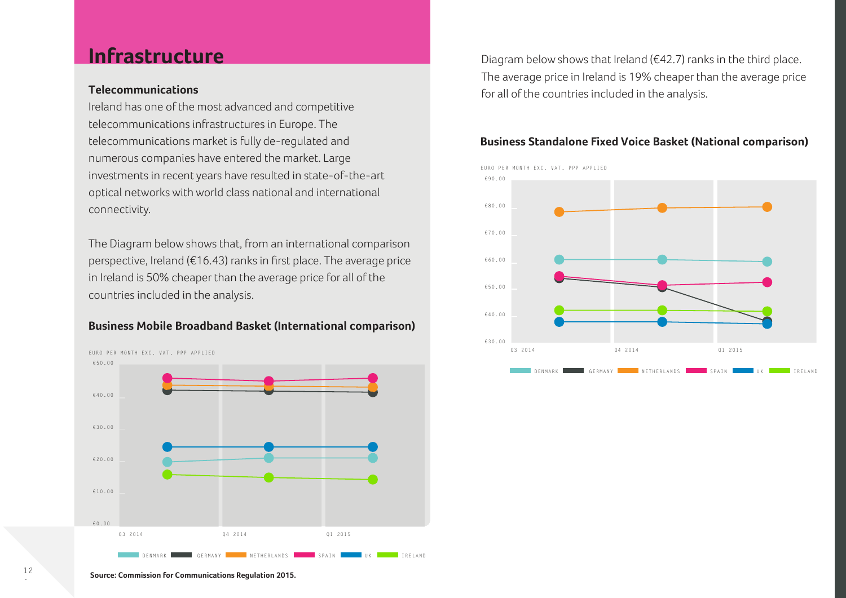## **Infrastructure**

### **Telecommunications**

Ireland has one of the most advanced and competitive telecommunications infrastructures in Europe. The telecommunications market is fully de-regulated and numerous companies have entered the market. Large investments in recent years have resulted in state-of-the-art optical networks with world class national and international connectivity.

The Diagram below shows that, from an international comparison perspective, Ireland (€16.43) ranks in first place. The average price in Ireland is 50% cheaper than the average price for all of the countries included in the analysis.

### **Business Mobile Broadband Basket (International comparison)**



Diagram below shows that Ireland ( $\epsilon$ 42.7) ranks in the third place. The average price in Ireland is 19% cheaper than the average price for all of the countries included in the analysis.

### **Business Standalone Fixed Voice Basket (National comparison)**



**Source: Commission for Communications Regulation 2015.**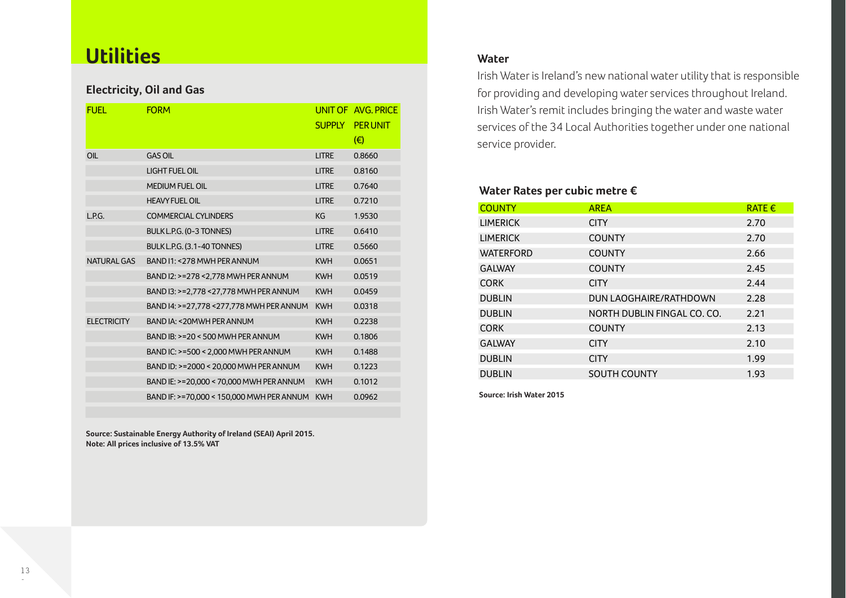## **Utilities**

### **Electricity, Oil and Gas**

| FUFI.              | <b>FORM</b>                               | <b>SUPPLY</b> | UNIT OF AVG PRICE<br><b>PER UNIT</b><br>(€) |
|--------------------|-------------------------------------------|---------------|---------------------------------------------|
| OIL                | <b>GAS OIL</b>                            | <b>LITRE</b>  | 0.8660                                      |
|                    | <b>LIGHT FUEL OIL</b>                     | <b>LITRE</b>  | 0.8160                                      |
|                    | <b>MEDIUM FUEL OIL</b>                    | <b>LITRE</b>  | 0.7640                                      |
|                    | <b>HEAVY FUEL OIL</b>                     | <b>LITRE</b>  | 0.7210                                      |
| L.P.G.             | <b>COMMERCIAL CYLINDERS</b>               | KG            | 1.9530                                      |
|                    | BULK L.P.G. (0-3 TONNES)                  | <b>LITRE</b>  | 0.6410                                      |
|                    | BULK L.P.G. (3.1-40 TONNES)               | <b>LITRE</b>  | 0.5660                                      |
| <b>NATURAL GAS</b> | BAND I1: < 278 MWH PER ANNUM              | <b>KWH</b>    | 0.0651                                      |
|                    | BAND I2: >=278 < 2,778 MWH PER ANNUM      | <b>KWH</b>    | 0.0519                                      |
|                    | BAND I3: >=2,778 <27,778 MWH PER ANNUM    | <b>KWH</b>    | 0.0459                                      |
|                    | BAND 14: >=27,778 <277,778 MWH PER ANNUM  | <b>KWH</b>    | 0.0318                                      |
| <b>ELECTRICITY</b> | BAND IA: < 20 MWH PER ANNUM               | <b>KWH</b>    | 0.2238                                      |
|                    | BAND IB: >=20 < 500 MWH PER ANNUM         | <b>KWH</b>    | 0.1806                                      |
|                    | BAND IC: >=500 < 2,000 MWH PER ANNUM      | <b>KWH</b>    | 0.1488                                      |
|                    | BAND ID: >=2000 < 20,000 MWH PER ANNUM    | <b>KWH</b>    | 0.1223                                      |
|                    | BAND IE: >=20,000 < 70,000 MWH PER ANNUM  | <b>KWH</b>    | 0.1012                                      |
|                    | BAND IF: >=70,000 < 150,000 MWH PER ANNUM | <b>KWH</b>    | 0.0962                                      |

**Source: Sustainable Energy Authority of Ireland (SEAI) April 2015. Note: All prices inclusive of 13.5% VAT**

### **Water**

Irish Water is Ireland's new national water utility that is responsible for providing and developing water services throughout Ireland. Irish Water's remit includes bringing the water and waste water services of the 34 Local Authorities together under one national service provider.

### **Water Rates per cubic metre €**

| <b>COUNTY</b>    | <b>AREA</b>                 | RATE $\epsilon$ |
|------------------|-----------------------------|-----------------|
| <b>LIMERICK</b>  | <b>CITY</b>                 | 2.70            |
| <b>LIMERICK</b>  | <b>COUNTY</b>               | 2.70            |
| <b>WATERFORD</b> | <b>COUNTY</b>               | 2.66            |
| <b>GALWAY</b>    | <b>COUNTY</b>               | 2.45            |
| <b>CORK</b>      | <b>CITY</b>                 | 2.44            |
| <b>DUBLIN</b>    | DUN LAOGHAIRE/RATHDOWN      | 2.28            |
| <b>DUBLIN</b>    | NORTH DUBLIN FINGAL CO. CO. | 2.21            |
| <b>CORK</b>      | <b>COUNTY</b>               | 2.13            |
| <b>GALWAY</b>    | <b>CITY</b>                 | 2.10            |
| <b>DUBLIN</b>    | <b>CITY</b>                 | 1.99            |
| <b>DUBLIN</b>    | <b>SOUTH COUNTY</b>         | 1.93            |

**Source: Irish Water 2015**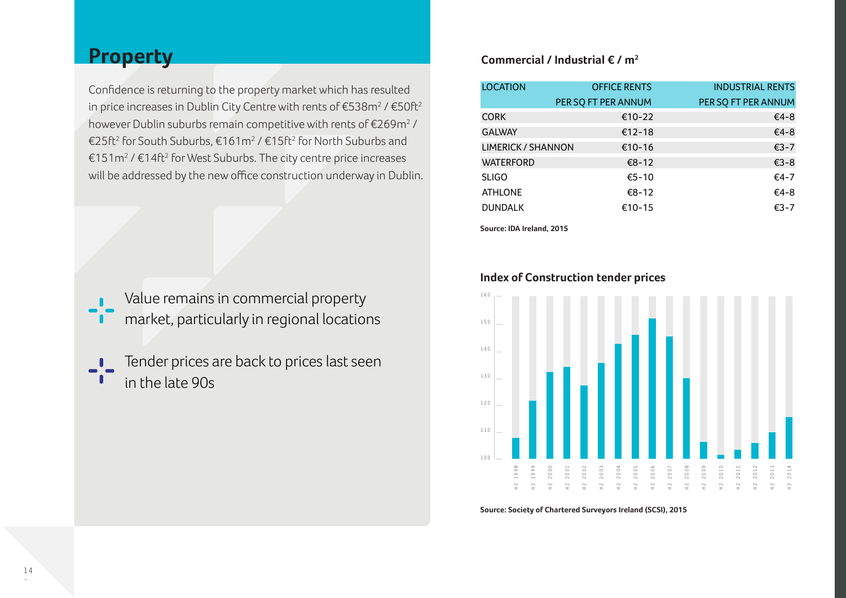## **Property**

Confidence is returning to the property market which has resulted in price increases in Dublin City Centre with rents of  $\mathrm{\epsilon}$ 538m $^2$  /  $\mathrm{\epsilon}$ 50ft $^2$ however Dublin suburbs remain competitive with rents of  $\mathrm{\epsilon}$ 269m $^2$  / €25ft<sup>2</sup> for South Suburbs, €161m<sup>2</sup> / €15ft<sup>2</sup> for North Suburbs and €151m<sup>2</sup> / €14ft<sup>2</sup> for West Suburbs. The city centre price increases will be addressed by the new office construction underway in Dublin.

Value remains in commercial property market, particularly in regional locations

Tender prices are back to prices last seen in the late 90s

### **Commercial / Industrial € / m2**

| <b>LOCATION</b>    | <b>OFFICE RENTS</b> | <b>INDUSTRIAL RENTS</b> |
|--------------------|---------------------|-------------------------|
|                    | PER SO FT PER ANNUM | PER SO FT PER ANNUM     |
| <b>CORK</b>        | €10-22              | €4-8                    |
| <b>GALWAY</b>      | €12-18              | €4-8                    |
| LIMERICK / SHANNON | €10-16              | €3-7                    |
| <b>WATERFORD</b>   | $€8-12$             | €3-8                    |
| <b>SLIGO</b>       | €5-10               | €4-7                    |
| <b>ATHLONE</b>     | $€8-12$             | €4-8                    |
| <b>DUNDALK</b>     | €10-15              | $€3-7$                  |
|                    |                     |                         |

**Source: IDA Ireland, 2015**



### **Index of Construction tender prices**

**Source: Society of Chartered Surveyors Ireland (SCSI), 2015**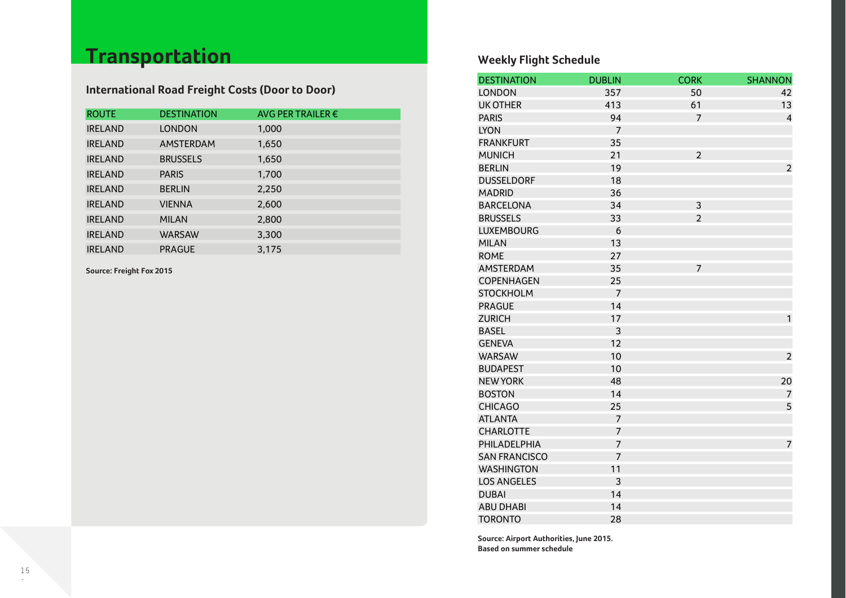# **Transportation**

## **International Road Freight Costs (Door to Door)**

| <b>ROUTE</b>   | <b>DESTINATION</b> | AVG PER TRAILER $\epsilon$ |
|----------------|--------------------|----------------------------|
| <b>IRELAND</b> | <b>LONDON</b>      | 1,000                      |
| <b>IRELAND</b> | AMSTERDAM          | 1,650                      |
| <b>IRELAND</b> | <b>BRUSSELS</b>    | 1,650                      |
| <b>IRELAND</b> | <b>PARIS</b>       | 1,700                      |
| <b>IRELAND</b> | <b>BERLIN</b>      | 2,250                      |
| <b>IRELAND</b> | <b>VIENNA</b>      | 2,600                      |
| <b>IRELAND</b> | <b>MILAN</b>       | 2,800                      |
| <b>IRELAND</b> | <b>WARSAW</b>      | 3,300                      |
| <b>IRELAND</b> | <b>PRAGUE</b>      | 3,175                      |

**Source: Freight Fox 2015**

## **Weekly Flight Schedule**

| <b>DESTINATION</b>   | <b>DUBLIN</b>  | <b>CORK</b>    | <b>SHANNON</b> |
|----------------------|----------------|----------------|----------------|
| <b>LONDON</b>        | 357            | 50             | 42             |
| <b>UK OTHER</b>      | 413            | 61             | 13             |
| <b>PARIS</b>         | 94             | $\overline{7}$ | $\overline{4}$ |
| <b>LYON</b>          | $\overline{7}$ |                |                |
| <b>FRANKFURT</b>     | 35             |                |                |
| <b>MUNICH</b>        | 21             | $\overline{2}$ |                |
| <b>BERLIN</b>        | 19             |                | $\overline{2}$ |
| <b>DUSSELDORF</b>    | 18             |                |                |
| <b>MADRID</b>        | 36             |                |                |
| <b>BARCELONA</b>     | 34             | 3              |                |
| <b>BRUSSELS</b>      | 33             | $\overline{2}$ |                |
| <b>LUXEMBOURG</b>    | 6              |                |                |
| <b>MILAN</b>         | 13             |                |                |
| <b>ROME</b>          | 27             |                |                |
| <b>AMSTERDAM</b>     | 35             | $\overline{7}$ |                |
| COPENHAGEN           | 25             |                |                |
| <b>STOCKHOLM</b>     | $\overline{7}$ |                |                |
| <b>PRAGUE</b>        | 14             |                |                |
| <b>ZURICH</b>        | 17             |                | 1              |
| <b>BASEL</b>         | 3              |                |                |
| <b>GENEVA</b>        | 12             |                |                |
| <b>WARSAW</b>        | 10             |                | $\overline{2}$ |
| <b>BUDAPEST</b>      | 10             |                |                |
| <b>NEW YORK</b>      | 48             |                | 20             |
| <b>BOSTON</b>        | 14             |                | $\overline{7}$ |
| <b>CHICAGO</b>       | 25             |                | 5              |
| <b>ATLANTA</b>       | $\overline{7}$ |                |                |
| <b>CHARLOTTE</b>     | $\overline{7}$ |                |                |
| PHILADELPHIA         | $\overline{7}$ |                | $\overline{7}$ |
| <b>SAN FRANCISCO</b> | $\overline{7}$ |                |                |
| <b>WASHINGTON</b>    | 11             |                |                |
| <b>LOS ANGELES</b>   | 3              |                |                |
| <b>DUBAI</b>         | 14             |                |                |
| <b>ABU DHABI</b>     | 14             |                |                |
| <b>TORONTO</b>       | 28             |                |                |

**Source: Airport Authorities, June 2015. Based on summer schedule**